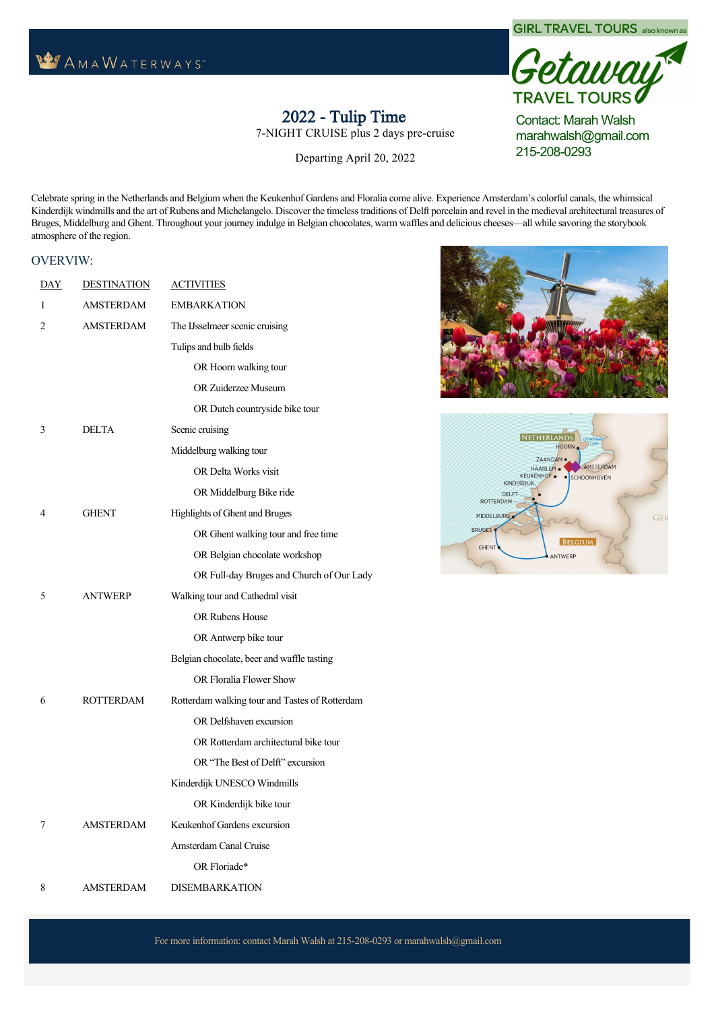## **WAMAWATERWAYS**



## 2022 Tulip Time

7-NIGHT CRUISE plus 2 days pre-cruise

Departing April 20, 2022 Cruise April 23-30, 2022

taway<sup>t</sup> **TRAVEL TOURS** Contact: Marah Walsh

**GIRL TRAVEL TOURS** also known as

marahwalsh@gmail.com 215-208-0293

NETHERLANDS

Celebrate spring in the Netherlands and Belgium when the Keukenhof Gardens and Floralia come alive. Experience Amsterdam's colorful canals, the whimsical Kinderdijk windmills and the art of Rubens and Michelangelo. Discover the timeless traditions of Delft porcelain and revel in the medieval architectural treasures of Bruges, Middelburg and Ghent. Throughout your journey indulge in Belgian chocolates, warm waffles and delicious cheeses—all while savoring the storybook atmosphere of the region.

## OVERVIW:

| <b>DAY</b>   | <b>DESTINATION</b> | <b>ACTIVITIES</b>                              |                         |                                             | <b>HOORN</b>                    |                                    |  |
|--------------|--------------------|------------------------------------------------|-------------------------|---------------------------------------------|---------------------------------|------------------------------------|--|
| $\mathbf{1}$ | <b>AMSTERDAM</b>   | <b>EMBARKATION</b>                             |                         | ZAANDAM ·<br>HAARLEM .<br>KEUKENHOF .       |                                 |                                    |  |
| 2            | <b>AMSTERDAM</b>   | The IJsselmeer scenic cruising                 |                         | · SCHOONHOVEN<br>KINDERDIJK<br><b>DELFT</b> |                                 |                                    |  |
|              |                    | Tulips and bulb fields                         | ROTTERDAM<br>MIDDELBURG |                                             |                                 |                                    |  |
|              |                    | OR Hoorn walking tour                          |                         | <b>BRUGES</b>                               |                                 | GER                                |  |
|              |                    | OR Zuiderzee Museum                            |                         | <b>GHENT</b>                                | <b>BELGIUM</b><br><b>NTWERP</b> |                                    |  |
|              |                    | OR Dutch countryside bike tour                 |                         |                                             |                                 |                                    |  |
| 3            | <b>DELTA</b>       | Scenic cruising                                |                         | <b>Category Description Available</b>       | $DBL -$                         | <b>SINGLE</b>                      |  |
|              |                    | Middelburg walking tour                        | AB                      | French                                      | PP(USD)                         | $-(USD)$<br>9\$5,408.00 \$7,332.50 |  |
|              |                    | OR Delta Works visit                           |                         | Balcony &<br>Outside                        |                                 |                                    |  |
|              |                    | OR Middelburg Bike ride                        |                         | Balcony,<br>235 sq. ft.                     |                                 |                                    |  |
| 4            | <b>GHENT</b>       | Highlights of Ghent and Bruges                 | <b>BA</b>               | French                                      |                                 | 8\$5,208.00 \$7,082.50             |  |
|              |                    | OR Ghent walking tour and free time            |                         | Balcony &<br>Outside                        |                                 |                                    |  |
|              |                    | OR Belgian chocolate workshop                  |                         | Balcony,<br>210 sq. ft.                     |                                 |                                    |  |
|              |                    | OR Full-day Bruges and Church of Our Lady      | <b>BB</b>               | French                                      |                                 | 6\$5,008.00 \$6,832.50             |  |
| 5            | <b>ANTWERP</b>     | Walking tour and Cathedral visit               |                         | Balcony &<br>Outside                        |                                 |                                    |  |
|              |                    | OR Rubens House                                |                         | Balcony,<br>210 sq. ft.                     |                                 |                                    |  |
|              |                    | OR Antwerp bike tour                           | $\overline{CA}$         | French<br>Balcony,                          |                                 | 7\$4,408.00 \$6,082.50             |  |
|              |                    | Belgian chocolate, beer and waffle tasting     |                         | 170 sq. ft.                                 |                                 |                                    |  |
|              |                    | OR Floralia Flower Show                        | $\overline{CB}$         | French<br>Balcony,                          |                                 | 1\$4,108.00 \$5,707.50             |  |
| 6            | <b>ROTTERDAM</b>   | Rotterdam walking tour and Tastes of Rotterdam |                         | 155 sq. ft.                                 |                                 |                                    |  |
|              |                    | OR Delfshaven excursion                        | D                       | Fixed<br>Windows,                           |                                 | 6\$3,608.00 \$5,082.50             |  |
|              |                    | OR Rotterdam architectural bike tour           |                         | 160 sq. ft.                                 |                                 |                                    |  |
|              |                    | OR "The Best of Delft" excursion               |                         | 2 night $r - cr$ is<br>lan                  |                                 | t nsion in mst r am                |  |
|              |                    | Kinderdijk UNESCO Windmills                    | 50                      | 1 150 singl                                 |                                 |                                    |  |
|              |                    | OR Kinderdijk bike tour                        |                         | 500 <sub>o</sub><br>ric s incl              | rson ntil<br>r                  | .28 2022                           |  |
| 7            | <b>AMSTERDAM</b>   | Keukenhof Gardens excursion                    |                         |                                             |                                 |                                    |  |
|              |                    | Amsterdam Canal Cruise                         |                         |                                             |                                 |                                    |  |
|              |                    | OR Floriade*                                   |                         |                                             |                                 |                                    |  |
| 8            | <b>AMSTERDAM</b>   | <b>DISEMBARKATION</b>                          |                         |                                             |                                 |                                    |  |